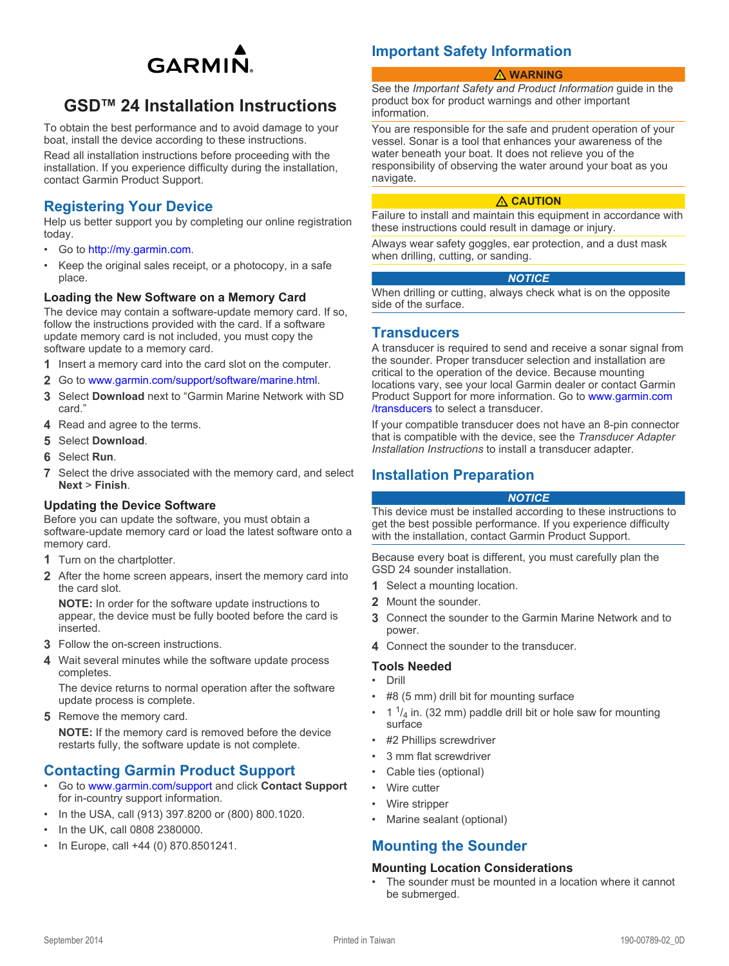

# <span id="page-0-0"></span>**GSD™ 24 Installation Instructions**

To obtain the best performance and to avoid damage to your boat, install the device according to these instructions.

Read all installation instructions before proceeding with the installation. If you experience difficulty during the installation, contact Garmin Product Support.

# **Registering Your Device**

Help us better support you by completing our online registration today.

- Go to [http://my.garmin.com.](http://my.garmin.com)
- Keep the original sales receipt, or a photocopy, in a safe place.

#### **Loading the New Software on a Memory Card**

The device may contain a software-update memory card. If so, follow the instructions provided with the card. If a software update memory card is not included, you must copy the software update to a memory card.

- 1 Insert a memory card into the card slot on the computer.
- **2** Go to [www.garmin.com/support/software/marine.html](http://www.garmin.com/support/software/marine.html).
- **3** Select **Download** next to "Garmin Marine Network with SD card."
- **4** Read and agree to the terms.
- **5** Select **Download**.
- **6** Select **Run**.
- **7** Select the drive associated with the memory card, and select **Next** > **Finish**.

#### **Updating the Device Software**

Before you can update the software, you must obtain a software-update memory card or load the latest software onto a memory card.

- **1** Turn on the chartplotter.
- **2** After the home screen appears, insert the memory card into the card slot.

**NOTE:** In order for the software update instructions to appear, the device must be fully booted before the card is inserted.

- **3** Follow the on-screen instructions.
- **4** Wait several minutes while the software update process completes.

The device returns to normal operation after the software update process is complete.

**5** Remove the memory card.

**NOTE:** If the memory card is removed before the device restarts fully, the software update is not complete.

# **Contacting Garmin Product Support**

- Go to [www.garmin.com/support](http://www.garmin.com/support/) and click **Contact Support**  for in-country support information.
- In the USA, call (913) 397.8200 or (800) 800.1020.
- In the UK, call 0808 2380000.
- In Europe, call +44 (0) 870.8501241.

# **Important Safety Information**

#### **WARNING**

See the *Important Safety and Product Information* guide in the product box for product warnings and other important information.

You are responsible for the safe and prudent operation of your vessel. Sonar is a tool that enhances your awareness of the water beneath your boat. It does not relieve you of the responsibility of observing the water around your boat as you navigate.

#### **CAUTION**

Failure to install and maintain this equipment in accordance with these instructions could result in damage or injury.

Always wear safety goggles, ear protection, and a dust mask when drilling, cutting, or sanding.

#### *NOTICE*

When drilling or cutting, always check what is on the opposite side of the surface.

### **Transducers**

A transducer is required to send and receive a sonar signal from the sounder. Proper transducer selection and installation are critical to the operation of the device. Because mounting locations vary, see your local Garmin dealer or contact Garmin Product Support for more information. Go to [www.garmin.com](http://www.garmin.com/transducers) [/transducers](http://www.garmin.com/transducers) to select a transducer.

If your compatible transducer does not have an 8-pin connector that is compatible with the device, see the *Transducer Adapter Installation Instructions* to install a transducer adapter.

### **Installation Preparation**

#### *NOTICE*

This device must be installed according to these instructions to get the best possible performance. If you experience difficulty with the installation, contact Garmin Product Support.

Because every boat is different, you must carefully plan the GSD 24 sounder installation.

- **1** Select a mounting location.
- **2** Mount the sounder.
- **3** Connect the sounder to the Garmin Marine Network and to power.
- **4** Connect the sounder to the transducer.

#### **Tools Needed**

- Drill
- #8 (5 mm) drill bit for mounting surface
- 1  $\frac{1}{4}$  in. surface
- #2 Phillips screwdriver
- 3 mm flat screwdriver
- Cable ties (optional)
- Wire cutter
- Wire stripper
- Marine sealant (optional)

# **Mounting the Sounder**

#### **Mounting Location Considerations**

• The sounder must be mounted in a location where it cannot be submerged.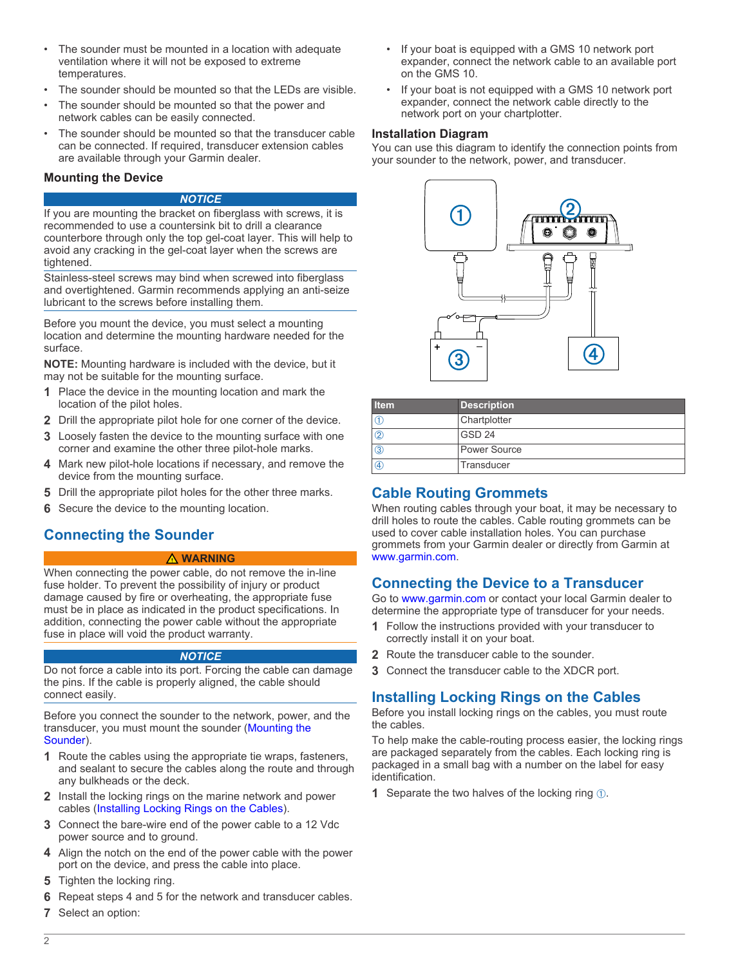- The sounder must be mounted in a location with adequate ventilation where it will not be exposed to extreme temperatures.
- The sounder should be mounted so that the LEDs are visible.
- The sounder should be mounted so that the power and network cables can be easily connected.
- The sounder should be mounted so that the transducer cable can be connected. If required, transducer extension cables are available through your Garmin dealer.

### **Mounting the Device**

#### *NOTICE*

If you are mounting the bracket on fiberglass with screws, it is recommended to use a countersink bit to drill a clearance counterbore through only the top gel-coat layer. This will help to avoid any cracking in the gel-coat layer when the screws are tightened.

Stainless-steel screws may bind when screwed into fiberglass and overtightened. Garmin recommends applying an anti-seize lubricant to the screws before installing them.

Before you mount the device, you must select a mounting location and determine the mounting hardware needed for the surface.

**NOTE:** Mounting hardware is included with the device, but it may not be suitable for the mounting surface.

- **1** Place the device in the mounting location and mark the location of the pilot holes.
- **2** Drill the appropriate pilot hole for one corner of the device.
- **3** Loosely fasten the device to the mounting surface with one corner and examine the other three pilot-hole marks.
- **4** Mark new pilot-hole locations if necessary, and remove the device from the mounting surface.
- **5** Drill the appropriate pilot holes for the other three marks.
- **6** Secure the device to the mounting location.

# **Connecting the Sounder**

#### **WARNING**

When connecting the power cable, do not remove the in-line fuse holder. To prevent the possibility of injury or product damage caused by fire or overheating, the appropriate fuse must be in place as indicated in the product specifications. In addition, connecting the power cable without the appropriate fuse in place will void the product warranty.

#### *NOTICE*

Do not force a cable into its port. Forcing the cable can damage the pins. If the cable is properly aligned, the cable should connect easily.

Before you connect the sounder to the network, power, and the transducer, you must mount the sounder [\(Mounting the](#page-0-0) [Sounder](#page-0-0)).

- **1** Route the cables using the appropriate tie wraps, fasteners, and sealant to secure the cables along the route and through any bulkheads or the deck.
- **2** Install the locking rings on the marine network and power cables (Installing Locking Rings on the Cables).
- **3** Connect the bare-wire end of the power cable to a 12 Vdc power source and to ground.
- **4** Align the notch on the end of the power cable with the power port on the device, and press the cable into place.
- **5** Tighten the locking ring.
- **6** Repeat steps 4 and 5 for the network and transducer cables.
- **7** Select an option:
- If your boat is equipped with a GMS 10 network port expander, connect the network cable to an available port on the GMS 10.
- If your boat is not equipped with a GMS 10 network port expander, connect the network cable directly to the network port on your chartplotter.

### **Installation Diagram**

You can use this diagram to identify the connection points from your sounder to the network, power, and transducer.



| l Item       | <b>Description</b> |
|--------------|--------------------|
|              | Chartplotter       |
| ②            | GSD <sub>24</sub>  |
| $^\circledR$ | Power Source       |
| A)           | Transducer         |

# **Cable Routing Grommets**

When routing cables through your boat, it may be necessary to drill holes to route the cables. Cable routing grommets can be used to cover cable installation holes. You can purchase grommets from your Garmin dealer or directly from Garmin at [www.garmin.com.](http://www.garmin.com)

# **Connecting the Device to a Transducer**

Go to [www.garmin.com](http://www.garmin.com) or contact your local Garmin dealer to determine the appropriate type of transducer for your needs.

- **1** Follow the instructions provided with your transducer to correctly install it on your boat.
- **2** Route the transducer cable to the sounder.
- **3** Connect the transducer cable to the XDCR port.

# **Installing Locking Rings on the Cables**

Before you install locking rings on the cables, you must route the cables.

To help make the cable-routing process easier, the locking rings are packaged separately from the cables. Each locking ring is packaged in a small bag with a number on the label for easy identification.

**1** Separate the two halves of the locking ring  $\circled{1}$ .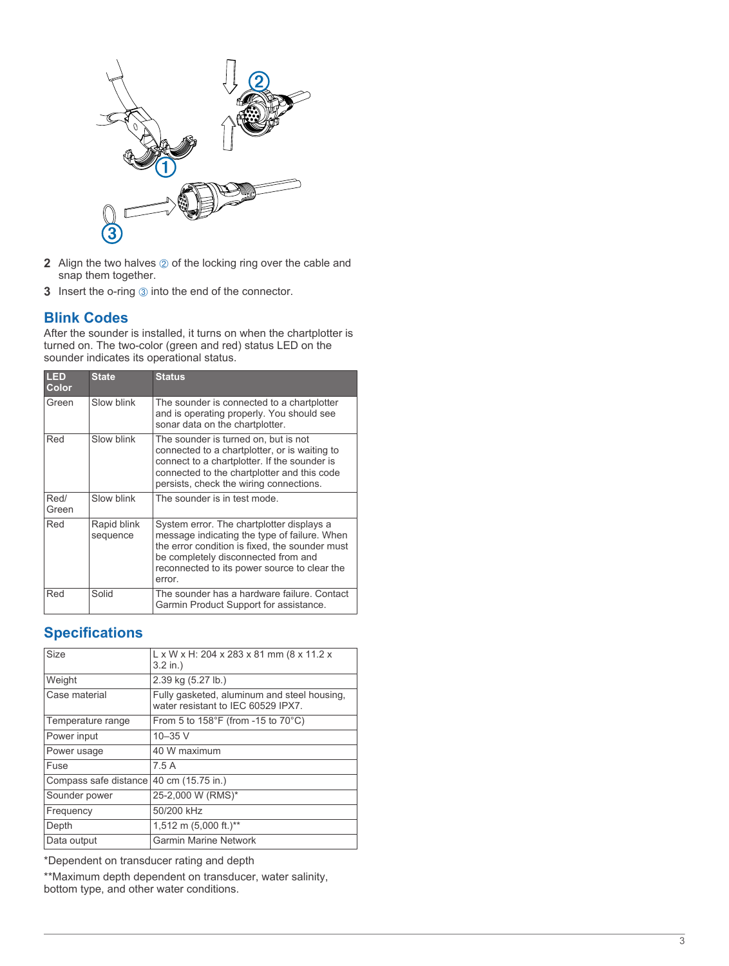

- **2** Align the two halves  $\oslash$  of the locking ring over the cable and snap them together.
- **3** Insert the o-ring 3 in

### **Blink Codes**

After the sounder is installed, it turns on when the chartplotter is turned on. The two-color (green and red) status LED on the sounder indicates its operational status.

| LED<br>Color  | <b>State</b>            | <b>Status</b>                                                                                                                                                                                                                                |
|---------------|-------------------------|----------------------------------------------------------------------------------------------------------------------------------------------------------------------------------------------------------------------------------------------|
| Green         | Slow blink              | The sounder is connected to a chartplotter<br>and is operating properly. You should see<br>sonar data on the chartplotter.                                                                                                                   |
| Red           | Slow blink              | The sounder is turned on, but is not<br>connected to a chartplotter, or is waiting to<br>connect to a chartplotter. If the sounder is<br>connected to the chartplotter and this code<br>persists, check the wiring connections.              |
| Red/<br>Green | Slow blink              | The sounder is in test mode.                                                                                                                                                                                                                 |
| Red           | Rapid blink<br>sequence | System error. The chartplotter displays a<br>message indicating the type of failure. When<br>the error condition is fixed, the sounder must<br>be completely disconnected from and<br>reconnected to its power source to clear the<br>error. |
| Red           | Solid                   | The sounder has a hardware failure. Contact<br>Garmin Product Support for assistance.                                                                                                                                                        |

# **Specifications**

| <b>Size</b>           | $L \times W \times H$ : 204 x 283 x 81 mm (8 x 11.2 x<br>$3.2$ in.)               |
|-----------------------|-----------------------------------------------------------------------------------|
| Weight                | 2.39 kg (5.27 lb.)                                                                |
| Case material         | Fully gasketed, aluminum and steel housing,<br>water resistant to IEC 60529 IPX7. |
| Temperature range     | From 5 to 158°F (from -15 to 70°C)                                                |
| Power input           | $10 - 35$ V                                                                       |
| Power usage           | 40 W maximum                                                                      |
| Fuse                  | 75A                                                                               |
| Compass safe distance | 40 cm (15.75 in.)                                                                 |
| Sounder power         | 25-2,000 W (RMS)*                                                                 |
| Frequency             | 50/200 kHz                                                                        |
| Depth                 | 1,512 m (5,000 ft.)**                                                             |
| Data output           | <b>Garmin Marine Network</b>                                                      |
|                       |                                                                                   |

\*Dependent on transducer rating and depth

\*\*Maximum depth dependent on transducer, water salinity, bottom type, and other water conditions.